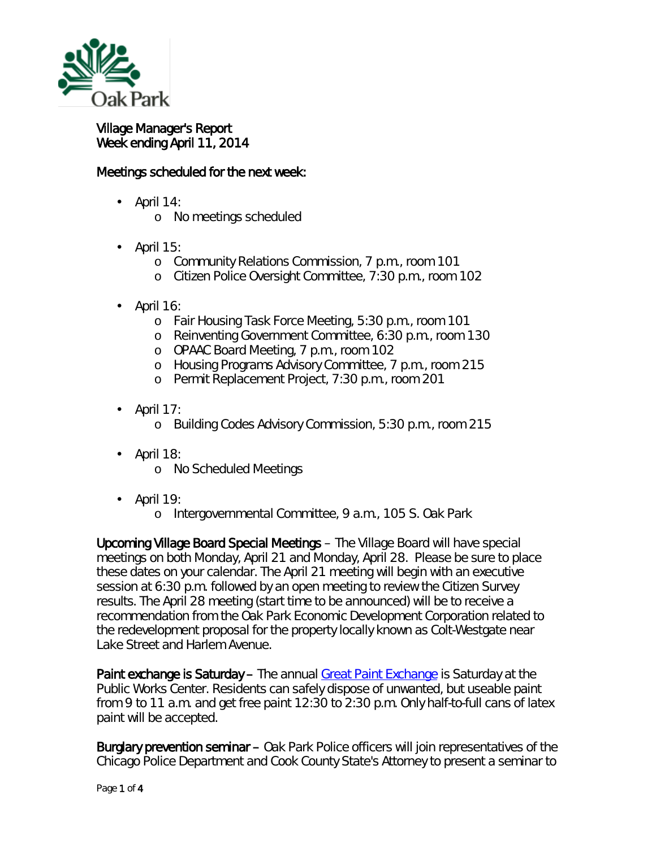

## Village Manager's Report Week ending April 11, 2014

## Meetings scheduled for the next week:

- April 14:
	- o No meetings scheduled
- April 15:
	- o Community Relations Commission, 7 p.m., room 101
	- o Citizen Police Oversight Committee, 7:30 p.m., room 102
- April 16:
	- o Fair Housing Task Force Meeting, 5:30 p.m., room 101
	- o Reinventing Government Committee, 6:30 p.m., room 130
	- o OPAAC Board Meeting, 7 p.m., room 102
	- o Housing Programs Advisory Committee, 7 p.m., room 215
	- o Permit Replacement Project, 7:30 p.m., room 201
- April 17: ä,
	- o Building Codes Advisory Commission, 5:30 p.m., room 215
- April 18: ä,
	- o No Scheduled Meetings
- April 19: ä.
	- o Intergovernmental Committee, 9 a.m., 105 S. Oak Park

Upcoming Village Board Special Meetings – The Village Board will have special meetings on both Monday, April 21 and Monday, April 28. Please be sure to place these dates on your calendar. The April 21 meeting will begin with an executive session at 6:30 p.m. followed by an open meeting to review the Citizen Survey results. The April 28 meeting (start time to be announced) will be to receive a recommendation from the Oak Park Economic Development Corporation related to the redevelopment proposal for the property locally known as Colt-Westgate near Lake Street and Harlem Avenue.

Paint exchange is Saturday – The annual [Great Paint Exchange](http://r20.rs6.net/tn.jsp?f=001FqWANHn2cIEIL-wpoPlN5dcrtqg1x6uxsDHK-UjKJmPkXrx0KCf45GNA2K3PXEssLMzUcUBMkXSarUrqGz-X0VrUeeiaEuA8cYZOpyQdp_MpeSmtVg58Movint2JzvxW71uszJR6A2TauaB3W7KUkCJUQmjrYxSL5CK8cs9bj-_Z6xs_nvPJL3d-2-MqF_yWnhVTv3SgClVu4xcHi59damWE0QSvKGZx4iiA1KQClRkV4rJB3lK3K77kWUhRLzAbuqemAyLC0CeGx-DW2ZBhx7hELwd6dW9Y&c=544CCvY390nATVVl4yt4R3uecm4rlH_YVenA7f8AtJS007gBmqIA9Q==&ch=yMLL-9KcKnj0T-xktAru77_Sfvl-FDESjE1DEAUoeDobz3tFdn324w==) is Saturday at the Public Works Center. Residents can safely dispose of unwanted, but useable paint from 9 to 11 a.m. and get free paint 12:30 to 2:30 p.m. Only half-to-full cans of *latex*  paint will be accepted.

Burglary prevention seminar – Oak Park Police officers will join representatives of the Chicago Police Department and Cook County State's Attorney to present a seminar to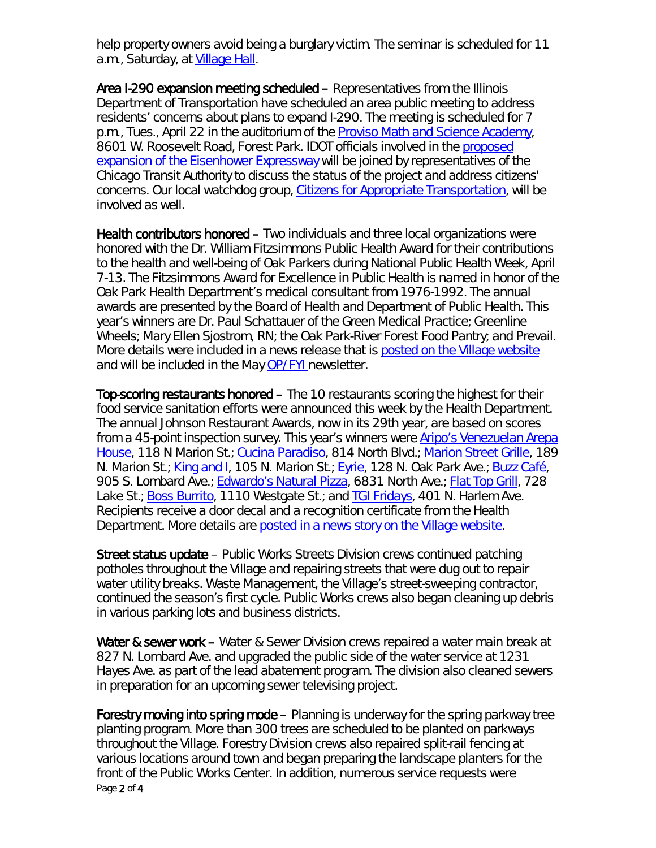help property owners avoid being a burglary victim. The seminar is scheduled for 11 a.m., Saturday, at [Village Hall.](http://r20.rs6.net/tn.jsp?f=001FqWANHn2cIEIL-wpoPlN5dcrtqg1x6uxsDHK-UjKJmPkXrx0KCf45CvJ6rqbKQekuN7pVIiEnTA_tKk7KbKT7s10KrDY5XN6LE97cNjT26emLgVpoicjYxtFUkumj3otzTBWjkcV5w-dTDDe4Lwj2LfJguB_bUbxOY0ZGvatebdUdTeJWysqU9B1PMaIVj90LtrlGcCwjr8ZbNfYu4MCCCcDAu8anqWqSF6OpYVSymc=&c=544CCvY390nATVVl4yt4R3uecm4rlH_YVenA7f8AtJS007gBmqIA9Q==&ch=yMLL-9KcKnj0T-xktAru77_Sfvl-FDESjE1DEAUoeDobz3tFdn324w==)

Area I-290 expansion meeting scheduled – Representatives from the Illinois Department of Transportation have scheduled an area public meeting to address residents' concerns about plans to expand I-290. The meeting is scheduled for 7 p.m., Tues., April 22 in the auditorium of the [Proviso Math and Science Academy,](http://r20.rs6.net/tn.jsp?f=001FqWANHn2cIEIL-wpoPlN5dcrtqg1x6uxsDHK-UjKJmPkXrx0KCf45K49etFIIihpLaXQwENLE9mhF2UFkzoSUebJsfjYzddr6eIoyp0Y0HFnJg-7L0GEMBshJtfAhk8Hup6cFlPX5OQkLmrOsgTY1sfulTl2FKQnGEqW8OKVbvQTKe6IbnKZcGVaqU_FO2fH&c=544CCvY390nATVVl4yt4R3uecm4rlH_YVenA7f8AtJS007gBmqIA9Q==&ch=yMLL-9KcKnj0T-xktAru77_Sfvl-FDESjE1DEAUoeDobz3tFdn324w==) 8601 W. Roosevelt Road, Forest Park. IDOT officials involved in the [proposed](http://r20.rs6.net/tn.jsp?f=001FqWANHn2cIEIL-wpoPlN5dcrtqg1x6uxsDHK-UjKJmPkXrx0KCf45NZMb9BWYiC8UrDTldcZD0OOJn1xV05MtaD2OWA7SBTvaLYLF5A8f_jh6xHbbHV4_nVVP1nGFH5p2c-bh6Yg7hDZypqjPWrUJ7j8s9sBq6nrjuXMYfMs3IEJrcR5-cus46elswAEOCgXSVfQfUGNTjboCAM0jaK0dc1XDPl5D1Wk&c=544CCvY390nATVVl4yt4R3uecm4rlH_YVenA7f8AtJS007gBmqIA9Q==&ch=yMLL-9KcKnj0T-xktAru77_Sfvl-FDESjE1DEAUoeDobz3tFdn324w==)  expansion of the [Eisenhower Expressway](http://r20.rs6.net/tn.jsp?f=001FqWANHn2cIEIL-wpoPlN5dcrtqg1x6uxsDHK-UjKJmPkXrx0KCf45NZMb9BWYiC8UrDTldcZD0OOJn1xV05MtaD2OWA7SBTvaLYLF5A8f_jh6xHbbHV4_nVVP1nGFH5p2c-bh6Yg7hDZypqjPWrUJ7j8s9sBq6nrjuXMYfMs3IEJrcR5-cus46elswAEOCgXSVfQfUGNTjboCAM0jaK0dc1XDPl5D1Wk&c=544CCvY390nATVVl4yt4R3uecm4rlH_YVenA7f8AtJS007gBmqIA9Q==&ch=yMLL-9KcKnj0T-xktAru77_Sfvl-FDESjE1DEAUoeDobz3tFdn324w==) will be joined by representatives of the Chicago Transit Authority to discuss the status of the project and address citizens' concerns. Our local watchdog group, [Citizens for Appropriate Transportation,](http://www.citizensforappropriatetransportation.org/) will be involved as well.

Health contributors honored – Two individuals and three local organizations were honored with the Dr. William Fitzsimmons Public Health Award for their contributions to the health and well-being of Oak Parkers during National Public Health Week, April 7-13. The Fitzsimmons Award for Excellence in Public Health is named in honor of the Oak Park Health Department's medical consultant from 1976-1992. The annual awards are presented by the Board of Health and Department of Public Health. This year's winners are Dr. Paul Schattauer of the Green Medical Practice; Greenline Wheels; Mary Ellen Sjostrom, RN; the Oak Park-River Forest Food Pantry; and Prevail. More details were included in a news release that is [posted on the Village website](http://www.oak-park.us/news/public-health-contributors-honored) and will be included in the May *[OP/FYI](http://www.oak-park.us/newsletters)* newsletter.

Top-scoring restaurants honored – The 10 restaurants scoring the highest for their food service sanitation efforts were announced this week by the Health Department. The annual Johnson Restaurant Awards, now in its 29th year, are based on scores from a 45-point inspection survey. This year's winners were [Aripo's Venezuelan Arepa](http://www.aripos.com/)  [House,](http://www.aripos.com/) 118 N Marion St.; [Cucina Paradiso,](http://www.cucinaoakpark.com/) 814 North Blvd.; [Marion Street Grille,](http://www.marionstreetgrille.com/) 189 N. Marion St.; [King and I,](http://www.kingandioakpark.com/) 105 N. Marion St.; [Eyrie,](https://www.robertmorris.edu/eyrie/) 128 N. Oak Park Ave.; [Buzz Café,](http://thebuzzcafe.com/) 905 S. Lombard Ave.; **Edwardo's Natural Pizza, 6831 North Ave.**; [Flat Top Grill,](http://www.flattopgrill.com/) 728 Lake St.; [Boss Burrito,](https://www.facebook.com/BossBurrito) 1110 Westgate St.; and **TGI Fridays**, 401 N. Harlem Ave. Recipients receive a door decal and a recognition certificate from the Health Department. More details are [posted in a news story on the Village website.](http://www.oak-park.us/news/health-department-honor-10-highest-scoring-restaurants)

Street status update – Public Works Streets Division crews continued patching potholes throughout the Village and repairing streets that were dug out to repair water utility breaks. Waste Management, the Village's street-sweeping contractor, continued the season's first cycle. Public Works crews also began cleaning up debris in various parking lots and business districts.

Water & sewer work – Water & Sewer Division crews repaired a water main break at 827 N. Lombard Ave. and upgraded the public side of the water service at 1231 Hayes Ave. as part of the lead abatement program. The division also cleaned sewers in preparation for an upcoming sewer televising project.

Page 2 of 4 Forestry moving into spring mode – Planning is underway for the spring parkway tree planting program. More than 300 trees are scheduled to be planted on parkways throughout the Village. Forestry Division crews also repaired split-rail fencing at various locations around town and began preparing the landscape planters for the front of the Public Works Center. In addition, numerous service requests were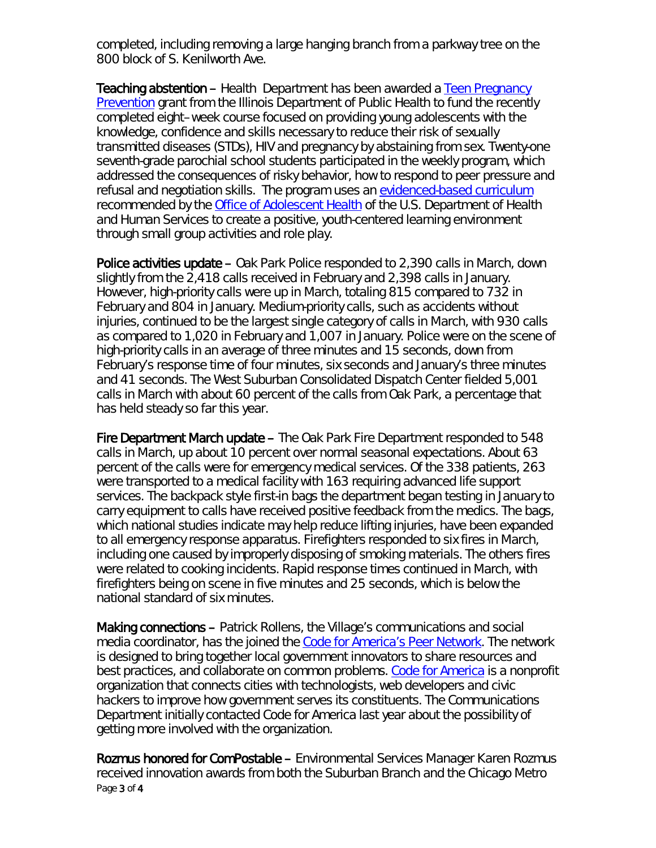completed, including removing a large hanging branch from a parkway tree on the 800 block of S. Kenilworth Ave.

Teaching abstention – Health Department has been awarded a Teen Pregnancy [Prevention](http://www.dhs.state.il.us/page.aspx?item=59466) grant from the Illinois Department of Public Health to fund the recently completed eight–week course focused on providing young adolescents with the knowledge, confidence and skills necessary to reduce their risk of sexually transmitted diseases (STDs), HIV and pregnancy by abstaining from sex. Twenty-one seventh-grade parochial school students participated in the weekly program, which addressed the consequences of risky behavior, how to respond to peer pressure and refusal and negotiation skills. The program uses an [evidenced-based curriculum](http://www.hhs.gov/ash/oah/oah-initiatives/teen_pregnancy/db/) recommended by the [Office of Adolescent Health](http://www.hhs.gov/ash/oah/) of the U.S. Department of Health and Human Services to create a positive, youth-centered learning environment through small group activities and role play.

Police activities update – Oak Park Police responded to 2,390 calls in March, down slightly from the 2,418 calls received in February and 2,398 calls in January. However, high-priority calls were up in March, totaling 815 compared to 732 in February and 804 in January. Medium-priority calls, such as accidents without injuries, continued to be the largest single category of calls in March, with 930 calls as compared to 1,020 in February and 1,007 in January. Police were on the scene of high-priority calls in an average of three minutes and 15 seconds, down from February's response time of four minutes, six seconds and January's three minutes and 41 seconds. The West Suburban Consolidated Dispatch Center fielded 5,001 calls in March with about 60 percent of the calls from Oak Park, a percentage that has held steady so far this year.

Fire Department March update – The Oak Park Fire Department responded to 548 calls in March, up about 10 percent over normal seasonal expectations. About 63 percent of the calls were for emergency medical services. Of the 338 patients, 263 were transported to a medical facility with 163 requiring advanced life support services. The backpack style *first-in* bags the department began testing in January to carry equipment to calls have received positive feedback from the medics. The bags, which national studies indicate may help reduce lifting injuries, have been expanded to all emergency response apparatus. Firefighters responded to six fires in March, including one caused by improperly disposing of smoking materials. The others fires were related to cooking incidents. Rapid response times continued in March, with firefighters being on scene in five minutes and 25 seconds, which is below the national standard of six minutes.

Making connections – Patrick Rollens, the Village's communications and social media coordinator, has the joined the [Code for America's Peer Network.](http://codeforamerica.org/about/peernetwork/) The network is designed to bring together local government innovators to share resources and best practices, and collaborate on common problems. [Code for America](http://codeforamerica.org/) is a nonprofit organization that connects cities with technologists, web developers and civic hackers to improve how government serves its constituents. The Communications Department initially contacted Code for America last year about the possibility of getting more involved with the organization.

Page 3 of 4 Rozmus honored for ComPostable – Environmental Services Manager Karen Rozmus received innovation awards from both the Suburban Branch and the Chicago Metro